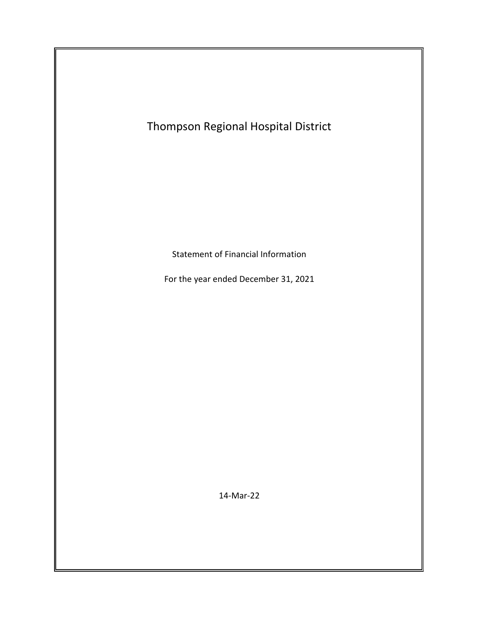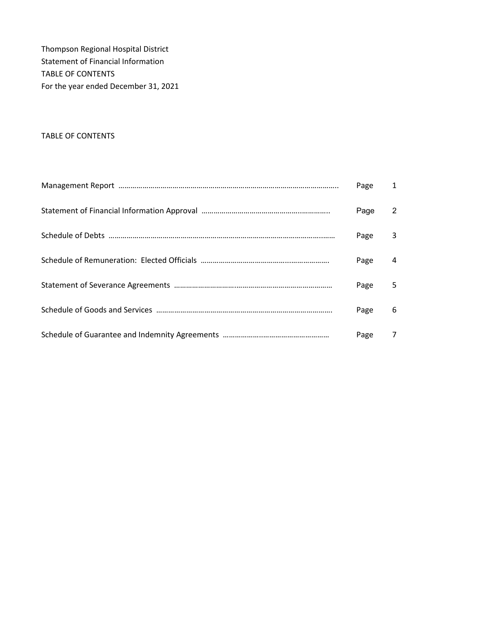Thompson Regional Hospital District Statement of Financial Information TABLE OF CONTENTS For the year ended December 31, 2021

### TABLE OF CONTENTS

| Page | $\mathbf{1}$ |
|------|--------------|
| Page | 2            |
| Page | 3            |
| Page | 4            |
| Page | 5            |
| Page | 6            |
| Page | 7            |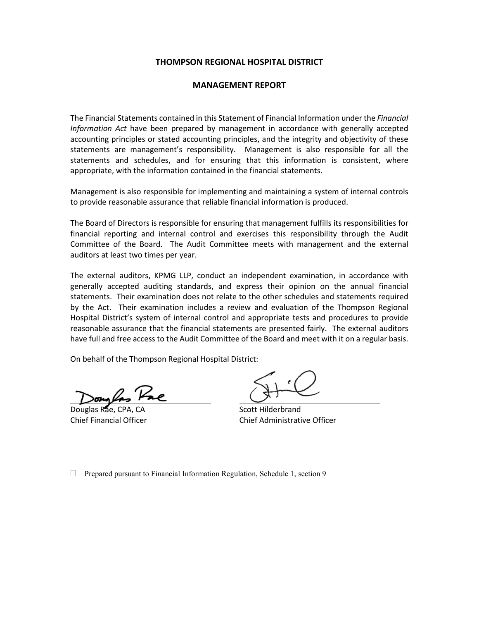### **THOMPSON REGIONAL HOSPITAL DISTRICT**

#### **MANAGEMENT REPORT**

The Financial Statements contained in this Statement of Financial Information under the *Financial Information Act* have been prepared by management in accordance with generally accepted accounting principles or stated accounting principles, and the integrity and objectivity of these statements are management's responsibility. Management is also responsible for all the statements and schedules, and for ensuring that this information is consistent, where appropriate, with the information contained in the financial statements.

Management is also responsible for implementing and maintaining a system of internal controls to provide reasonable assurance that reliable financial information is produced.

The Board of Directors is responsible for ensuring that management fulfills its responsibilities for financial reporting and internal control and exercises this responsibility through the Audit Committee of the Board. The Audit Committee meets with management and the external auditors at least two times per year.

The external auditors, KPMG LLP, conduct an independent examination, in accordance with generally accepted auditing standards, and express their opinion on the annual financial statements. Their examination does not relate to the other schedules and statements required by the Act. Their examination includes a review and evaluation of the Thompson Regional Hospital District's system of internal control and appropriate tests and procedures to provide reasonable assurance that the financial statements are presented fairly. The external auditors have full and free access to the Audit Committee of the Board and meet with it on a regular basis.

On behalf of the Thompson Regional Hospital District:

Douglas Rae, CPA, CA Scott Hilderbrand

Chief Financial Officer Chief Administrative Officer

□ Prepared pursuant to Financial Information Regulation, Schedule 1, section 9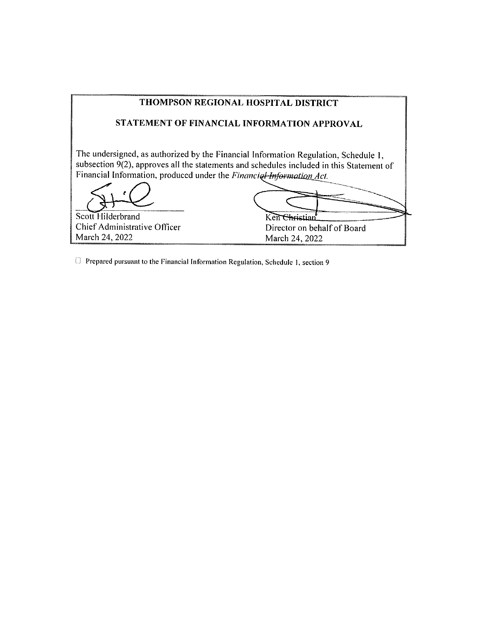| THOMPSON REGIONAL HOSPITAL DISTRICT                                  |                                                                                                                                                                                 |  |  |
|----------------------------------------------------------------------|---------------------------------------------------------------------------------------------------------------------------------------------------------------------------------|--|--|
|                                                                      | STATEMENT OF FINANCIAL INFORMATION APPROVAL                                                                                                                                     |  |  |
| Financial Information, produced under the Financial Information Act. | The undersigned, as authorized by the Financial Information Regulation, Schedule 1,<br>subsection 9(2), approves all the statements and schedules included in this Statement of |  |  |
| Scott Hilderbrand                                                    | arietiar                                                                                                                                                                        |  |  |
| Chief Administrative Officer                                         | Director on behalf of Board                                                                                                                                                     |  |  |
| March 24, 2022                                                       | March 24, 2022                                                                                                                                                                  |  |  |

 $\Box$  Prepared pursuant to the Financial Information Regulation, Schedule 1, section 9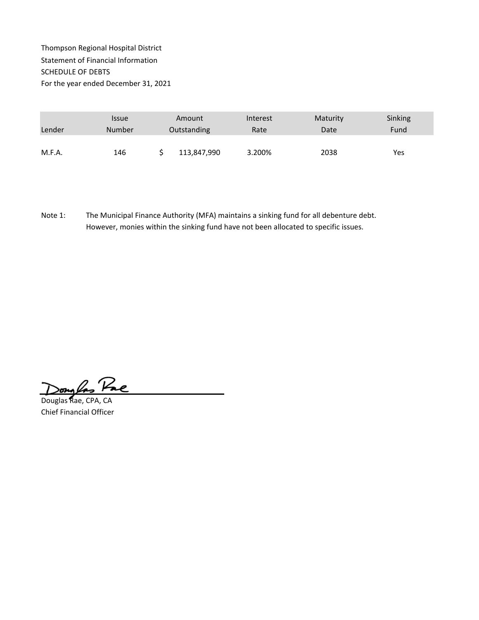## Thompson Regional Hospital District Statement of Financial Information SCHEDULE OF DEBTS For the year ended December 31, 2021

|        | <i><b>Issue</b></i> | Amount      | Interest | Maturity | Sinking |
|--------|---------------------|-------------|----------|----------|---------|
| Lender | <b>Number</b>       | Outstanding | Rate     | Date     | Fund    |
|        |                     |             |          |          |         |
| M.F.A. | 146                 | 113,847,990 | 3.200%   | 2038     | Yes     |

Note 1: The Municipal Finance Authority (MFA) maintains a sinking fund for all debenture debt. However, monies within the sinking fund have not been allocated to specific issues.

Songlas Pac

Douglas Rae, CPA, CA Chief Financial Officer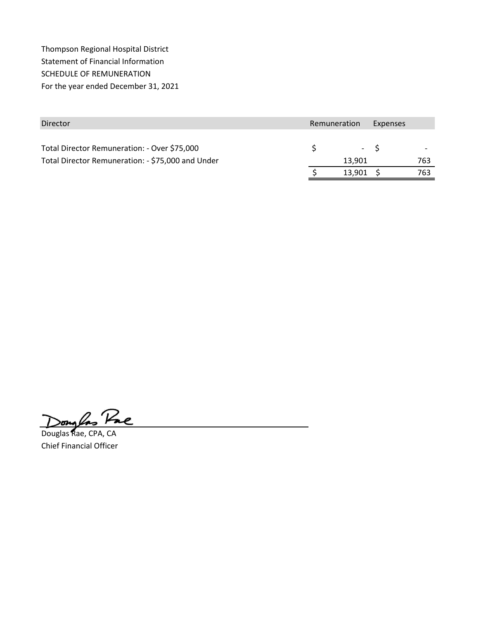Thompson Regional Hospital District Statement of Financial Information SCHEDULE OF REMUNERATION For the year ended December 31, 2021

| Director                                          | Remuneration<br>Expenses |       |     |
|---------------------------------------------------|--------------------------|-------|-----|
| Total Director Remuneration: - Over \$75,000      |                          | $- S$ |     |
| Total Director Remuneration: - \$75,000 and Under | 13.901                   |       | 763 |
|                                                   | 13.901                   |       | 763 |

Douglas Pac

Douglas Rae, CPA, CA Chief Financial Officer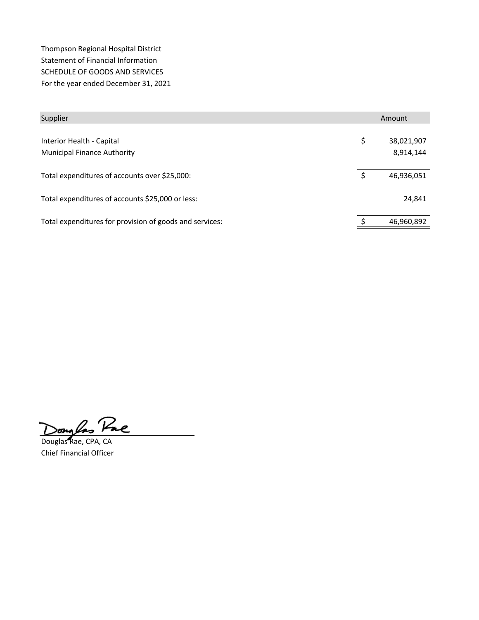Thompson Regional Hospital District Statement of Financial Information SCHEDULE OF GOODS AND SERVICES For the year ended December 31, 2021

| Supplier                                                        | Amount                        |  |
|-----------------------------------------------------------------|-------------------------------|--|
| Interior Health - Capital<br><b>Municipal Finance Authority</b> | \$<br>38,021,907<br>8,914,144 |  |
| Total expenditures of accounts over \$25,000:                   | \$<br>46,936,051              |  |
| Total expenditures of accounts \$25,000 or less:                | 24,841                        |  |
| Total expenditures for provision of goods and services:         | 46,960,892                    |  |

Pae  $\frac{1}{\sqrt{2\pi}}$ 

Douglas Rae, CPA, CA Chief Financial Officer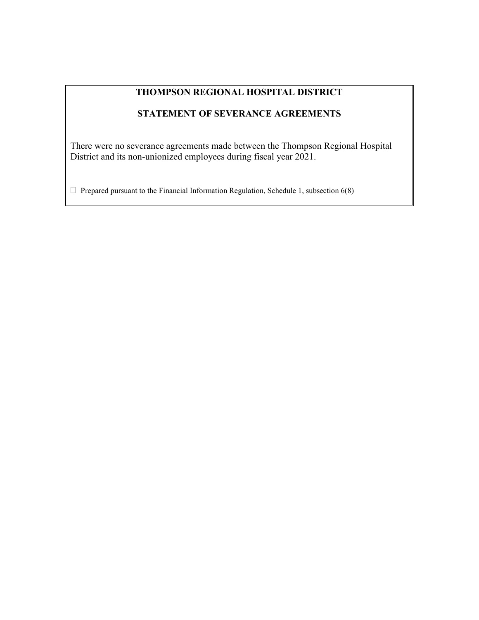# **THOMPSON REGIONAL HOSPITAL DISTRICT**

## **STATEMENT OF SEVERANCE AGREEMENTS**

There were no severance agreements made between the Thompson Regional Hospital District and its non-unionized employees during fiscal year 2021.

 $\Box$  Prepared pursuant to the Financial Information Regulation, Schedule 1, subsection 6(8)